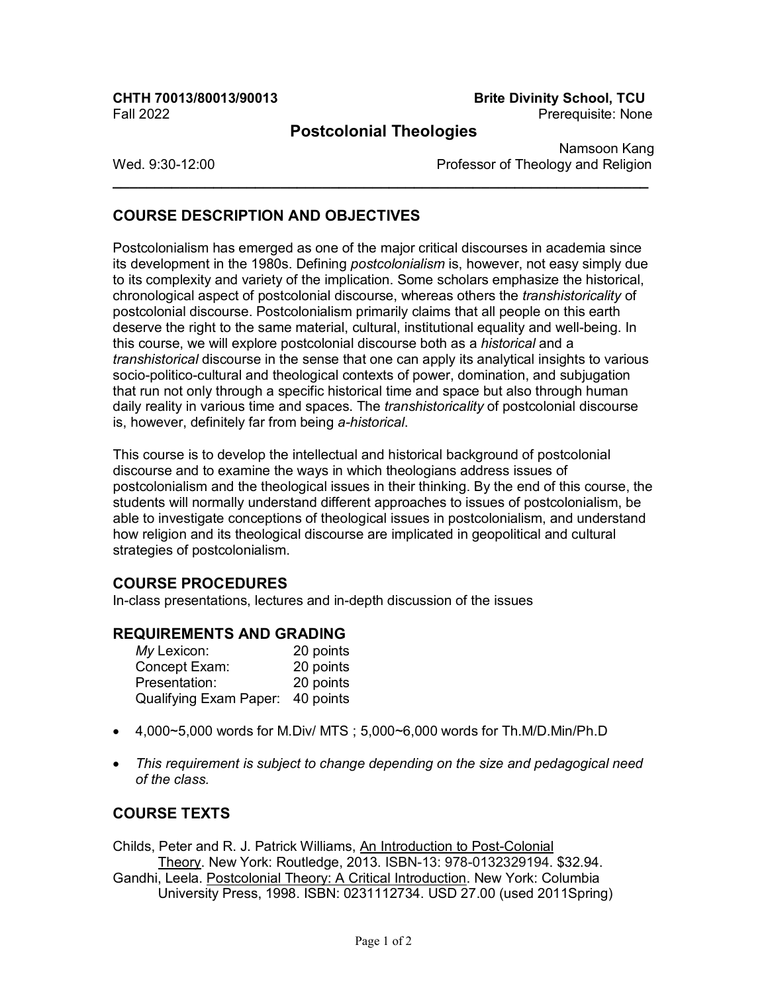Fall 2022 Prerequisite: None

# **CHTH 70013/80013/90013 Brite Divinity School, TCU**

### **Postcolonial Theologies**

**\_\_\_\_\_\_\_\_\_\_\_\_\_\_\_\_\_\_\_\_\_\_\_\_\_\_\_\_\_\_\_\_\_\_\_\_\_\_\_\_\_\_\_\_\_\_\_\_\_\_\_\_\_\_\_\_\_\_\_\_\_\_\_\_**

Namsoon Kang Wed. 9:30-12:00 **Professor of Theology and Religion** 

## **COURSE DESCRIPTION AND OBJECTIVES**

Postcolonialism has emerged as one of the major critical discourses in academia since its development in the 1980s. Defining *postcolonialism* is, however, not easy simply due to its complexity and variety of the implication. Some scholars emphasize the historical, chronological aspect of postcolonial discourse, whereas others the *transhistoricality* of postcolonial discourse. Postcolonialism primarily claims that all people on this earth deserve the right to the same material, cultural, institutional equality and well-being. In this course, we will explore postcolonial discourse both as a *historical* and a *transhistorical* discourse in the sense that one can apply its analytical insights to various socio-politico-cultural and theological contexts of power, domination, and subjugation that run not only through a specific historical time and space but also through human daily reality in various time and spaces. The *transhistoricality* of postcolonial discourse is, however, definitely far from being *a-historical*.

This course is to develop the intellectual and historical background of postcolonial discourse and to examine the ways in which theologians address issues of postcolonialism and the theological issues in their thinking. By the end of this course, the students will normally understand different approaches to issues of postcolonialism, be able to investigate conceptions of theological issues in postcolonialism, and understand how religion and its theological discourse are implicated in geopolitical and cultural strategies of postcolonialism.

### **COURSE PROCEDURES**

In-class presentations, lectures and in-depth discussion of the issues

### **REQUIREMENTS AND GRADING**

| My Lexicon:                      | 20 points |
|----------------------------------|-----------|
| Concept Exam:                    | 20 points |
| Presentation:                    | 20 points |
| Qualifying Exam Paper: 40 points |           |

- 4,000~5,000 words for M.Div/ MTS ; 5,000~6,000 words for Th.M/D.Min/Ph.D
- *This requirement is subject to change depending on the size and pedagogical need of the class.*

### **COURSE TEXTS**

Childs, Peter and R. J. Patrick Williams, An Introduction to Post-Colonial Theory. New York: Routledge, 2013. ISBN-13: 978-0132329194. \$32.94. Gandhi, Leela. Postcolonial Theory: A Critical Introduction. New York: Columbia University Press, 1998. ISBN: 0231112734. USD 27.00 (used 2011Spring)